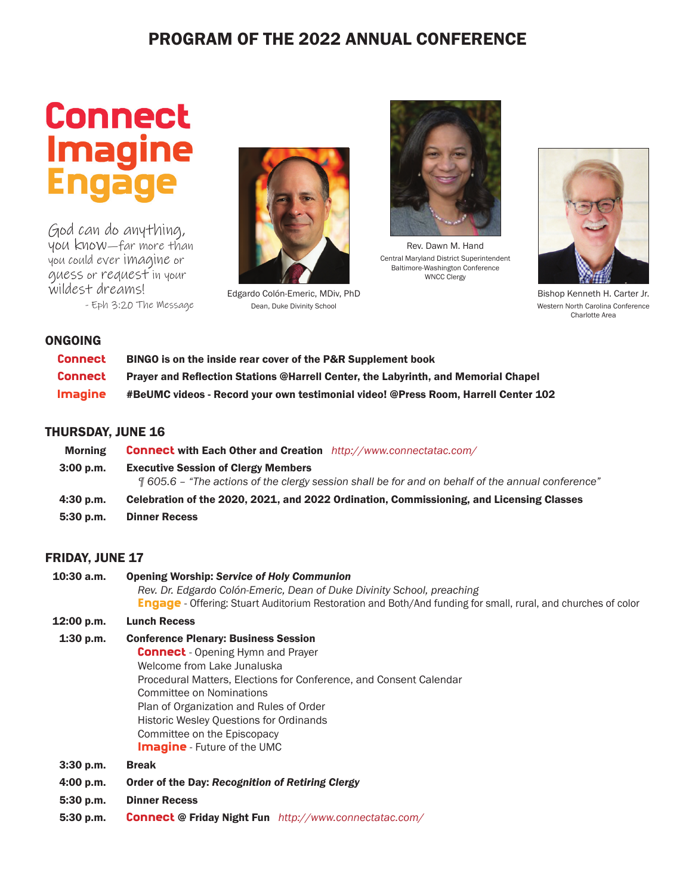## PROGRAM OF THE 2022 ANNUAL CONFERENCE

# **Connect Imagine**

God can do anything, you know—far more than you could ever imagine or guess or request in your wildest dreams!

- Eph 3:20 The Message



Edgardo Colón-Emeric, MDiv, PhD Dean, Duke Divinity School



Rev. Dawn M. Hand Central Maryland District Superintendent Baltimore-Washington Conference WNCC Clergy



Bishop Kenneth H. Carter Jr. Western North Carolina Conference Charlotte Area

#### ONGOING

| <b>Connect</b> | BINGO is on the inside rear cover of the P&R Supplement book                              |
|----------------|-------------------------------------------------------------------------------------------|
| <b>Connect</b> | <b>Praver and Reflection Stations @Harrell Center, the Labyrinth, and Memorial Chapel</b> |
| <b>Imagine</b> | #BeUMC videos - Record your own testimonial video! @Press Room, Harrell Center 102        |

#### THURSDAY, JUNE 16

| <b>Morning</b> | <b>Connect with Each Other and Creation</b> http://www.connectatac.com/                                                                                     |
|----------------|-------------------------------------------------------------------------------------------------------------------------------------------------------------|
| 3:00 p.m.      | <b>Executive Session of Clergy Members</b><br>$\frac{9}{1}$ 605.6 – "The actions of the clergy session shall be for and on behalf of the annual conference" |
| $4:30$ p.m.    | Celebration of the 2020, 2021, and 2022 Ordination, Commissioning, and Licensing Classes                                                                    |
| $5:30$ p.m.    | <b>Dinner Recess</b>                                                                                                                                        |

#### FRIDAY, JUNE 17

10:30 a.m. Opening Worship: *Service of Holy Communion Rev. Dr. Edgardo Colón-Emeric, Dean of Duke Divinity School, preaching* Engage - Offering: Stuart Auditorium Restoration and Both/And funding for small, rural, and churches of color 12:00 p.m. Lunch Recess 1:30 p.m. Conference Plenary: Business Session **Connect** - Opening Hymn and Prayer Welcome from Lake Junaluska Procedural Matters, Elections for Conference, and Consent Calendar Committee on Nominations Plan of Organization and Rules of Order

Historic Wesley Questions for Ordinands

- Committee on the Episcopacy
- **Imagine** Future of the UMC
- 3:30 p.m. Break
- 4:00 p.m. Order of the Day: *Recognition of Retiring Clergy*
- 5:30 p.m. Dinner Recess
- 5:30 p.m. Connect @ Friday Night Fun *http://www.connectatac.com/*